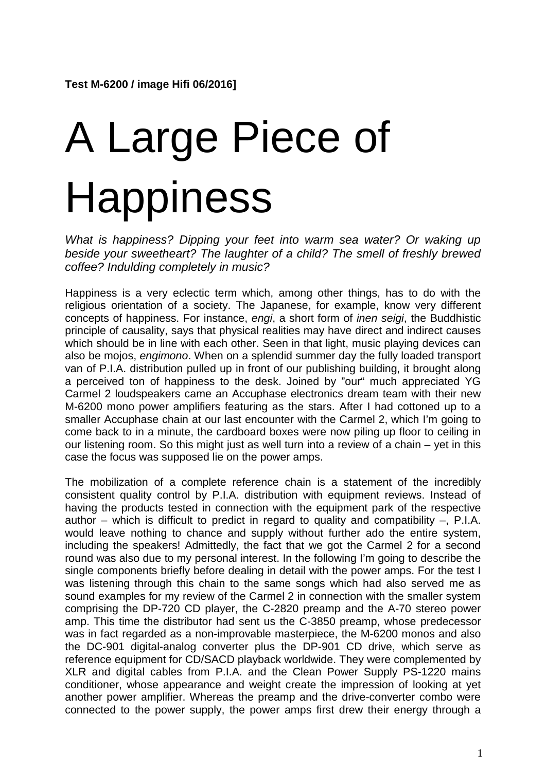## A Large Piece of **Happiness**

*What is happiness? Dipping your feet into warm sea water? Or waking up beside your sweetheart? The laughter of a child? The smell of freshly brewed coffee? Indulding completely in music?*

Happiness is a very eclectic term which, among other things, has to do with the religious orientation of a society. The Japanese, for example, know very different concepts of happiness. For instance, *engi*, a short form of *inen seigi*, the Buddhistic principle of causality, says that physical realities may have direct and indirect causes which should be in line with each other. Seen in that light, music playing devices can also be mojos, *engimono*. When on a splendid summer day the fully loaded transport van of P.I.A. distribution pulled up in front of our publishing building, it brought along a perceived ton of happiness to the desk. Joined by "our" much appreciated YG Carmel 2 loudspeakers came an Accuphase electronics dream team with their new M-6200 mono power amplifiers featuring as the stars. After I had cottoned up to a smaller Accuphase chain at our last encounter with the Carmel 2, which I'm going to come back to in a minute, the cardboard boxes were now piling up floor to ceiling in our listening room. So this might just as well turn into a review of a chain – yet in this case the focus was supposed lie on the power amps.

The mobilization of a complete reference chain is a statement of the incredibly consistent quality control by P.I.A. distribution with equipment reviews. Instead of having the products tested in connection with the equipment park of the respective author – which is difficult to predict in regard to quality and compatibility –, P.I.A. would leave nothing to chance and supply without further ado the entire system, including the speakers! Admittedly, the fact that we got the Carmel 2 for a second round was also due to my personal interest. In the following I'm going to describe the single components briefly before dealing in detail with the power amps. For the test I was listening through this chain to the same songs which had also served me as sound examples for my review of the Carmel 2 in connection with the smaller system comprising the DP-720 CD player, the C-2820 preamp and the A-70 stereo power amp. This time the distributor had sent us the C-3850 preamp, whose predecessor was in fact regarded as a non-improvable masterpiece, the M-6200 monos and also the DC-901 digital-analog converter plus the DP-901 CD drive, which serve as reference equipment for CD/SACD playback worldwide. They were complemented by XLR and digital cables from P.I.A. and the Clean Power Supply PS-1220 mains conditioner, whose appearance and weight create the impression of looking at yet another power amplifier. Whereas the preamp and the drive-converter combo were connected to the power supply, the power amps first drew their energy through a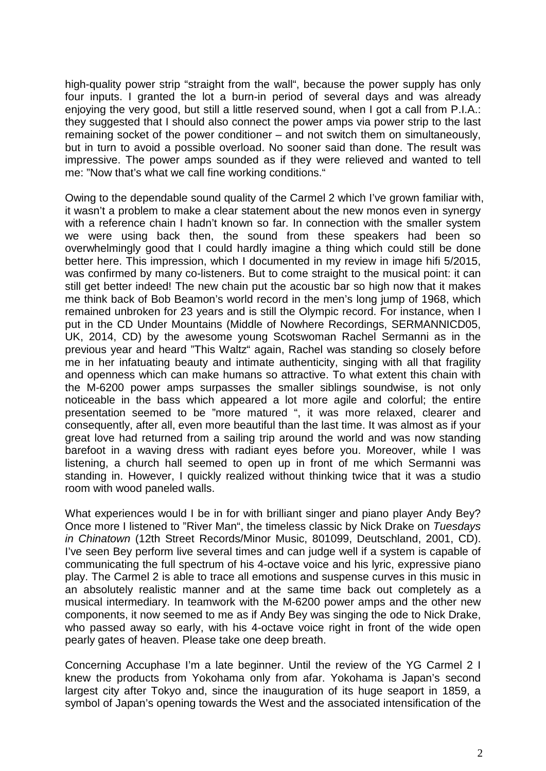high-quality power strip "straight from the wall", because the power supply has only four inputs. I granted the lot a burn-in period of several days and was already enjoying the very good, but still a little reserved sound, when I got a call from P.I.A.: they suggested that I should also connect the power amps via power strip to the last remaining socket of the power conditioner – and not switch them on simultaneously, but in turn to avoid a possible overload. No sooner said than done. The result was impressive. The power amps sounded as if they were relieved and wanted to tell me: "Now that's what we call fine working conditions."

Owing to the dependable sound quality of the Carmel 2 which I've grown familiar with, it wasn't a problem to make a clear statement about the new monos even in synergy with a reference chain I hadn't known so far. In connection with the smaller system we were using back then, the sound from these speakers had been so overwhelmingly good that I could hardly imagine a thing which could still be done better here. This impression, which I documented in my review in image hifi 5/2015, was confirmed by many co-listeners. But to come straight to the musical point: it can still get better indeed! The new chain put the acoustic bar so high now that it makes me think back of Bob Beamon's world record in the men's long jump of 1968, which remained unbroken for 23 years and is still the Olympic record. For instance, when I put in the CD Under Mountains (Middle of Nowhere Recordings, SERMANNICD05, UK, 2014, CD) by the awesome young Scotswoman Rachel Sermanni as in the previous year and heard "This Waltz" again, Rachel was standing so closely before me in her infatuating beauty and intimate authenticity, singing with all that fragility and openness which can make humans so attractive. To what extent this chain with the M-6200 power amps surpasses the smaller siblings soundwise, is not only noticeable in the bass which appeared a lot more agile and colorful; the entire presentation seemed to be "more matured ", it was more relaxed, clearer and consequently, after all, even more beautiful than the last time. It was almost as if your great love had returned from a sailing trip around the world and was now standing barefoot in a waving dress with radiant eyes before you. Moreover, while I was listening, a church hall seemed to open up in front of me which Sermanni was standing in. However, I quickly realized without thinking twice that it was a studio room with wood paneled walls.

What experiences would I be in for with brilliant singer and piano player Andy Bey? Once more I listened to "River Man", the timeless classic by Nick Drake on *Tuesdays in Chinatown* (12th Street Records/Minor Music, 801099, Deutschland, 2001, CD). I've seen Bey perform live several times and can judge well if a system is capable of communicating the full spectrum of his 4-octave voice and his lyric, expressive piano play. The Carmel 2 is able to trace all emotions and suspense curves in this music in an absolutely realistic manner and at the same time back out completely as a musical intermediary. In teamwork with the M-6200 power amps and the other new components, it now seemed to me as if Andy Bey was singing the ode to Nick Drake, who passed away so early, with his 4-octave voice right in front of the wide open pearly gates of heaven. Please take one deep breath.

Concerning Accuphase I'm a late beginner. Until the review of the YG Carmel 2 I knew the products from Yokohama only from afar. Yokohama is Japan's second largest city after Tokyo and, since the inauguration of its huge seaport in 1859, a symbol of Japan's opening towards the West and the associated intensification of the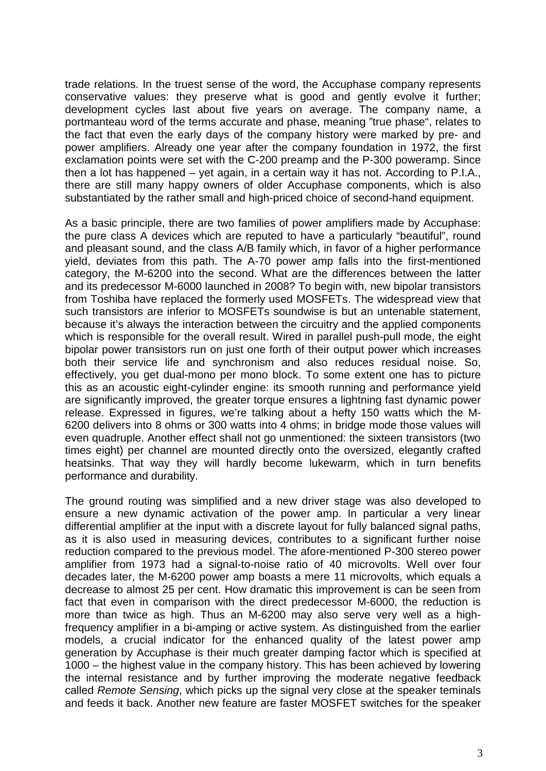trade relations. In the truest sense of the word, the Accuphase company represents conservative values: they preserve what is good and gently evolve it further; development cycles last about five years on average. The company name, a portmanteau word of the terms accurate and phase, meaning "true phase", relates to the fact that even the early days of the company history were marked by pre- and power amplifiers. Already one year after the company foundation in 1972, the first exclamation points were set with the C-200 preamp and the P-300 poweramp. Since then a lot has happened – yet again, in a certain way it has not. According to P.I.A., there are still many happy owners of older Accuphase components, which is also substantiated by the rather small and high-priced choice of second-hand equipment.

As a basic principle, there are two families of power amplifiers made by Accuphase: the pure class A devices which are reputed to have a particularly "beautiful", round and pleasant sound, and the class A/B family which, in favor of a higher performance yield, deviates from this path. The A-70 power amp falls into the first-mentioned category, the M-6200 into the second. What are the differences between the latter and its predecessor M-6000 launched in 2008? To begin with, new bipolar transistors from Toshiba have replaced the formerly used MOSFETs. The widespread view that such transistors are inferior to MOSFETs soundwise is but an untenable statement, because it's always the interaction between the circuitry and the applied components which is responsible for the overall result. Wired in parallel push-pull mode, the eight bipolar power transistors run on just one forth of their output power which increases both their service life and synchronism and also reduces residual noise. So, effectively, you get dual-mono per mono block. To some extent one has to picture this as an acoustic eight-cylinder engine: its smooth running and performance yield are significantly improved, the greater torque ensures a lightning fast dynamic power release. Expressed in figures, we're talking about a hefty 150 watts which the M-6200 delivers into 8 ohms or 300 watts into 4 ohms; in bridge mode those values will even quadruple. Another effect shall not go unmentioned: the sixteen transistors (two times eight) per channel are mounted directly onto the oversized, elegantly crafted heatsinks. That way they will hardly become lukewarm, which in turn benefits performance and durability.

The ground routing was simplified and a new driver stage was also developed to ensure a new dynamic activation of the power amp. In particular a very linear differential amplifier at the input with a discrete layout for fully balanced signal paths, as it is also used in measuring devices, contributes to a significant further noise reduction compared to the previous model. The afore-mentioned P-300 stereo power amplifier from 1973 had a signal-to-noise ratio of 40 microvolts. Well over four decades later, the M-6200 power amp boasts a mere 11 microvolts, which equals a decrease to almost 25 per cent. How dramatic this improvement is can be seen from fact that even in comparison with the direct predecessor M-6000, the reduction is more than twice as high. Thus an M-6200 may also serve very well as a highfrequency amplifier in a bi-amping or active system. As distinguished from the earlier models, a crucial indicator for the enhanced quality of the latest power amp generation by Accuphase is their much greater damping factor which is specified at 1000 – the highest value in the company history. This has been achieved by lowering the internal resistance and by further improving the moderate negative feedback called *Remote Sensing*, which picks up the signal very close at the speaker teminals and feeds it back. Another new feature are faster MOSFET switches for the speaker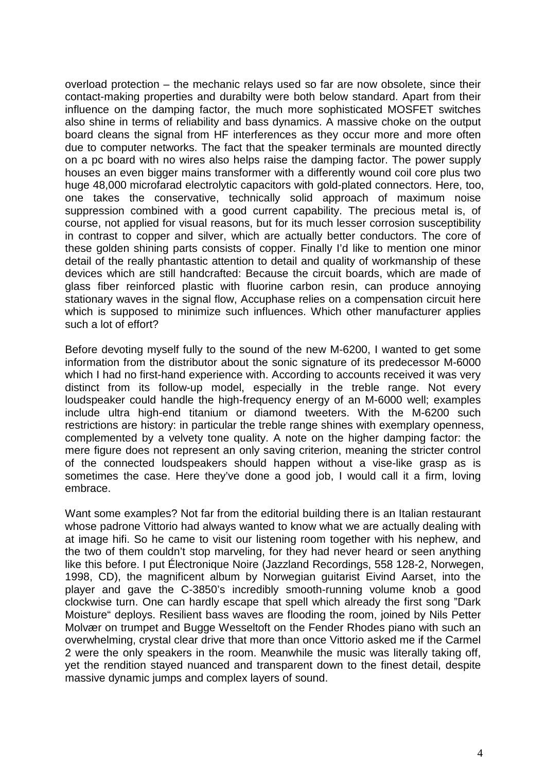overload protection – the mechanic relays used so far are now obsolete, since their contact-making properties and durabilty were both below standard. Apart from their influence on the damping factor, the much more sophisticated MOSFET switches also shine in terms of reliability and bass dynamics. A massive choke on the output board cleans the signal from HF interferences as they occur more and more often due to computer networks. The fact that the speaker terminals are mounted directly on a pc board with no wires also helps raise the damping factor. The power supply houses an even bigger mains transformer with a differently wound coil core plus two huge 48,000 microfarad electrolytic capacitors with gold-plated connectors. Here, too, one takes the conservative, technically solid approach of maximum noise suppression combined with a good current capability. The precious metal is, of course, not applied for visual reasons, but for its much lesser corrosion susceptibility in contrast to copper and silver, which are actually better conductors. The core of these golden shining parts consists of copper. Finally I'd like to mention one minor detail of the really phantastic attention to detail and quality of workmanship of these devices which are still handcrafted: Because the circuit boards, which are made of glass fiber reinforced plastic with fluorine carbon resin, can produce annoying stationary waves in the signal flow, Accuphase relies on a compensation circuit here which is supposed to minimize such influences. Which other manufacturer applies such a lot of effort?

Before devoting myself fully to the sound of the new M-6200, I wanted to get some information from the distributor about the sonic signature of its predecessor M-6000 which I had no first-hand experience with. According to accounts received it was very distinct from its follow-up model, especially in the treble range. Not every loudspeaker could handle the high-frequency energy of an M-6000 well; examples include ultra high-end titanium or diamond tweeters. With the M-6200 such restrictions are history: in particular the treble range shines with exemplary openness, complemented by a velvety tone quality. A note on the higher damping factor: the mere figure does not represent an only saving criterion, meaning the stricter control of the connected loudspeakers should happen without a vise-like grasp as is sometimes the case. Here they've done a good job, I would call it a firm, loving embrace.

Want some examples? Not far from the editorial building there is an Italian restaurant whose padrone Vittorio had always wanted to know what we are actually dealing with at image hifi. So he came to visit our listening room together with his nephew, and the two of them couldn't stop marveling, for they had never heard or seen anything like this before. I put Électronique Noire (Jazzland Recordings, 558 128-2, Norwegen, 1998, CD), the magnificent album by Norwegian guitarist Eivind Aarset, into the player and gave the C-3850's incredibly smooth-running volume knob a good clockwise turn. One can hardly escape that spell which already the first song "Dark Moisture" deploys. Resilient bass waves are flooding the room, joined by Nils Petter Molvær on trumpet and Bugge Wesseltoft on the Fender Rhodes piano with such an overwhelming, crystal clear drive that more than once Vittorio asked me if the Carmel 2 were the only speakers in the room. Meanwhile the music was literally taking off, yet the rendition stayed nuanced and transparent down to the finest detail, despite massive dynamic jumps and complex layers of sound.